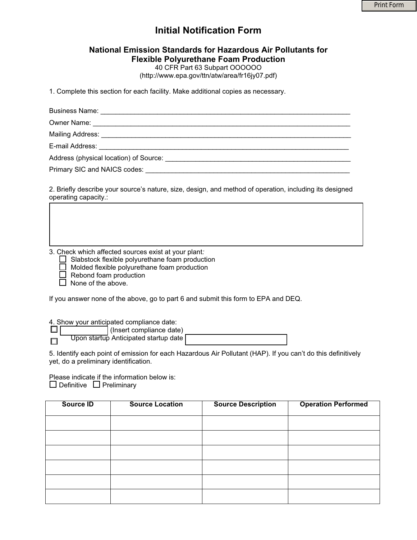# **Initial Notification Form**

# **National Emission Standards for Hazardous Air Pollutants for Flexible Polyurethane Foam Production**

40 CFR Part 63 Subpart OOOOOO (http://www.epa.gov/ttn/atw/area/fr16jy07.pdf)

1. Complete this section for each facility. Make additional copies as necessary.

Business Name: \_\_\_\_\_\_\_\_\_\_\_\_\_\_\_\_\_\_\_\_\_\_\_\_\_\_\_\_\_\_\_\_\_\_\_\_\_\_\_\_\_\_\_\_\_\_\_\_\_\_\_\_\_\_\_\_\_\_\_\_\_\_\_\_\_\_ Owner Name: \_\_\_\_\_\_\_\_\_\_\_\_\_\_\_\_\_\_\_\_\_\_\_\_\_\_\_\_\_\_\_\_\_\_\_\_\_\_\_\_\_\_\_\_\_\_\_\_\_\_\_\_\_\_\_\_\_\_\_\_\_\_\_\_\_\_\_\_ Mailing Address: **We are all that the set of the set of the set of the set of the set of the set of the set of the set of the set of the set of the set of the set of the set of the set of the set of the set of the set of t** E-mail Address: Address (physical location) of Source: \_\_\_\_\_\_\_\_\_\_\_\_\_\_\_\_\_\_\_\_\_\_\_\_\_\_\_\_\_\_\_\_\_\_\_\_\_\_\_\_\_\_\_\_\_\_\_\_\_ Primary SIC and NAICS codes:  $\blacksquare$ 

2. Briefly describe your source's nature, size, design, and method of operation, including its designed operating capacity.:

3. Check which affected sources exist at your plant*:*

 $\Box$  Slabstock flexible polyurethane foam production

 $\Box$  Molded flexible polyurethane foam production

 $\Box$  Rebond foam production

 $\Box$  None of the above.

I

If you answer none of the above, go to part 6 and submit this form to EPA and DEQ.

4. Show your anticipated compliance date:

 (Insert compliance date)  $\Box$ Upon startup Anticipated startup date  $\Box$ 

5. Identify each point of emission for each Hazardous Air Pollutant (HAP). If you can't do this definitively yet, do a preliminary identification.

Please indicate if the information below is:  $\Box$  Definitive  $\Box$  Preliminary

| Source ID | <b>Source Location</b> | <b>Source Description</b> | <b>Operation Performed</b> |
|-----------|------------------------|---------------------------|----------------------------|
|           |                        |                           |                            |
|           |                        |                           |                            |
|           |                        |                           |                            |
|           |                        |                           |                            |
|           |                        |                           |                            |
|           |                        |                           |                            |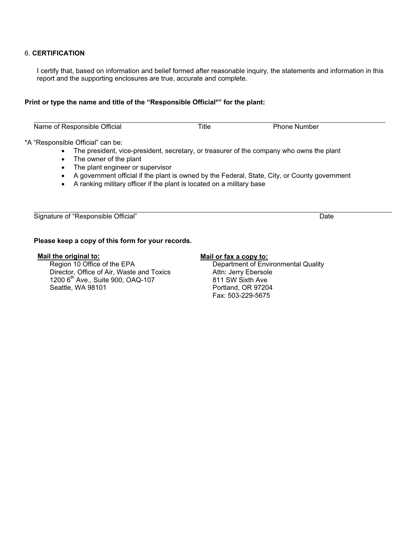## 6. **CERTIFICATION**

I certify that, based on information and belief formed after reasonable inquiry, the statements and information in this report and the supporting enclosures are true, accurate and complete.

### **Print or type the name and title of the "Responsible Official\*" for the plant:**

Name of Responsible Official Title Title Phone Number

#### \*A "Responsible Official" can be:

- The president, vice-president, secretary, or treasurer of the company who owns the plant
- The owner of the plant
- The plant engineer or supervisor
- A government official if the plant is owned by the Federal, State, City, or County government
- $\bullet$  A ranking military officer if the plant is located on a military base

Signature of "Responsible Official" Date

## **Please keep a copy of this form for your records.**

#### **Mail the original to:**

Region 10 Office of the EPA Director, Office of Air, Waste and Toxics 1200 6<sup>th</sup> Ave., Suite 900, OAQ-107 Seattle, WA 98101

# **Mail or fax a copy to:**

Department of Environmental Quality Attn: Jerry Ebersole 811 SW Sixth Ave Portland, OR 97204 Fax: 503-229-5675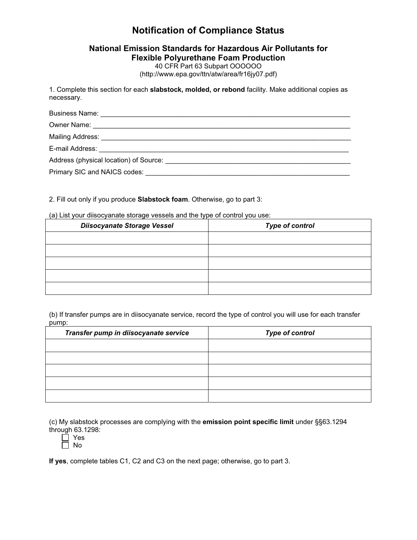# **Notification of Compliance Status**

# **National Emission Standards for Hazardous Air Pollutants for Flexible Polyurethane Foam Production**

40 CFR Part 63 Subpart OOOOOO (http://www.epa.gov/ttn/atw/area/fr16jy07.pdf)

1. Complete this section for each **slabstock, molded, or rebond** facility. Make additional copies as necessary.

| E-mail Address: <u>Communications</u> of the mail Address: |  |  |
|------------------------------------------------------------|--|--|
|                                                            |  |  |
|                                                            |  |  |

# 2. Fill out only if you produce **Slabstock foam**. Otherwise, go to part 3:

### (a) List your diisocyanate storage vessels and the type of control you use:

| <b>Diisocyanate Storage Vessel</b> | <b>Type of control</b> |
|------------------------------------|------------------------|
|                                    |                        |
|                                    |                        |
|                                    |                        |
|                                    |                        |
|                                    |                        |

(b) If transfer pumps are in diisocyanate service, record the type of control you will use for each transfer pump:

| Transfer pump in diisocyanate service | <b>Type of control</b> |  |
|---------------------------------------|------------------------|--|
|                                       |                        |  |
|                                       |                        |  |
|                                       |                        |  |
|                                       |                        |  |
|                                       |                        |  |

(c) My slabstock processes are complying with the **emission point specific limit** under §§63.1294 through 63.1298:

Yes

 $\Box$  No

**If yes**, complete tables C1, C2 and C3 on the next page; otherwise, go to part 3.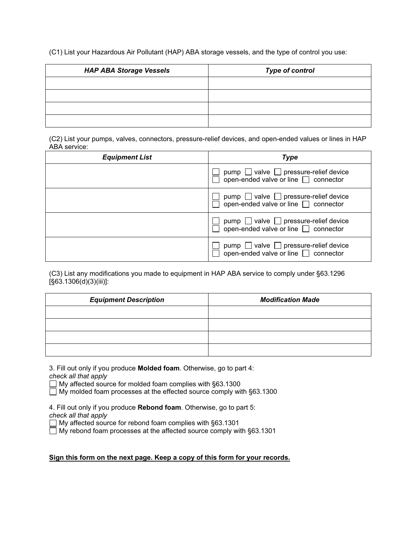(C1) List your Hazardous Air Pollutant (HAP) ABA storage vessels, and the type of control you use:

| <b>HAP ABA Storage Vessels</b> | <b>Type of control</b> |
|--------------------------------|------------------------|
|                                |                        |
|                                |                        |
|                                |                        |
|                                |                        |

(C2) List your pumps, valves, connectors, pressure-relief devices, and open-ended values or lines in HAP ABA service:

| <b>Equipment List</b> | <b>Type</b>                                                                                  |
|-----------------------|----------------------------------------------------------------------------------------------|
|                       | pump $\Box$ valve $\Box$ pressure-relief device<br>open-ended valve or line $\Box$ connector |
|                       | pump $\Box$ valve $\Box$ pressure-relief device<br>open-ended valve or line $\Box$ connector |
|                       | pump $\Box$ valve $\Box$ pressure-relief device<br>open-ended valve or line $\Box$ connector |
|                       | pump $\Box$ valve $\Box$ pressure-relief device<br>open-ended valve or line $\Box$ connector |

(C3) List any modifications you made to equipment in HAP ABA service to comply under §63.1296 [§63.1306(d)(3)(iii)]:

| <b>Equipment Description</b> | <b>Modification Made</b> |
|------------------------------|--------------------------|
|                              |                          |
|                              |                          |
|                              |                          |
|                              |                          |

3. Fill out only if you produce **Molded foam**. Otherwise, go to part 4: *check all that apply* 

My affected source for molded foam complies with §63.1300

 $\Box$  My molded foam processes at the effected source comply with §63.1300

4. Fill out only if you produce **Rebond foam**. Otherwise, go to part 5: *check all that apply* 

 $\Box$  My affected source for rebond foam complies with §63.1301

 $\Box$  My rebond foam processes at the affected source comply with §63.1301

# **Sign this form on the next page. Keep a copy of this form for your records.**